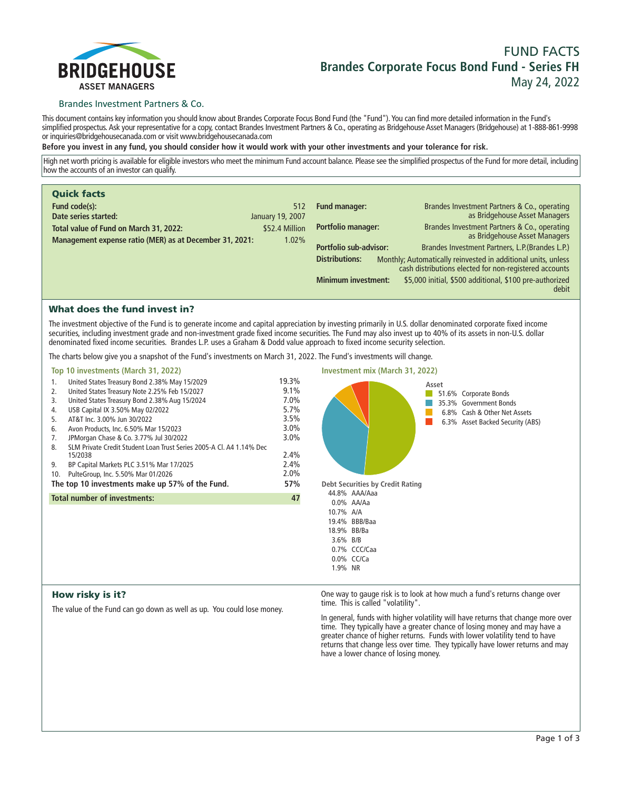

# **FUND FACTS Brandes Corporate Focus Bond Fund - Series FH May 24, 2022**

### Brandes Investment Partners & Co.

**This document contains key information you should know about Brandes Corporate Focus Bond Fund (the "Fund"). You can find more detailed information in the Fund's simplified prospectus. Ask your representative for a copy, contact Brandes Investment Partners & Co., operating as Bridgehouse Asset Managers (Bridgehouse) at 1-888-861-9998 or inquiries@bridgehousecanada.com or visit www.bridgehousecanada.com**

**Before you invest in any fund, you should consider how it would work with your other investments and your tolerance for risk.**

**High net worth pricing is available for eligible investors who meet the minimum Fund account balance. Please see the simplified prospectus of the Fund for more detail, including how the accounts of an investor can qualify.**

| <b>Quick facts</b>                                      |                  |                            |                                                                                                                         |
|---------------------------------------------------------|------------------|----------------------------|-------------------------------------------------------------------------------------------------------------------------|
| Fund code(s):                                           | 512              | <b>Fund manager:</b>       | Brandes Investment Partners & Co., operating                                                                            |
| Date series started:                                    | January 19, 2007 |                            | as Bridgehouse Asset Managers                                                                                           |
| Total value of Fund on March 31, 2022:                  | \$52.4 Million   | Portfolio manager:         | Brandes Investment Partners & Co., operating                                                                            |
| Management expense ratio (MER) as at December 31, 2021: | 1.02%            |                            | as Bridgehouse Asset Managers                                                                                           |
|                                                         |                  | Portfolio sub-advisor:     | Brandes Investment Partners, L.P. (Brandes L.P.)                                                                        |
|                                                         |                  | <b>Distributions:</b>      | Monthly; Automatically reinvested in additional units, unless<br>cash distributions elected for non-registered accounts |
|                                                         |                  | <b>Minimum investment:</b> | \$5,000 initial, \$500 additional, \$100 pre-authorized<br>debit                                                        |

# What does the fund invest in?

**The investment objective of the Fund is to generate income and capital appreciation by investing primarily in U.S. dollar denominated corporate fixed income securities, including investment grade and non-investment grade fixed income securities. The Fund may also invest up to 40% of its assets in non-U.S. dollar denominated fixed income securities. Brandes L.P. uses a Graham & Dodd value approach to fixed income security selection.**

**The charts below give you a snapshot of the Fund's investments on March 31, 2022. The Fund's investments will change.**

|     | Top 10 investments (March 31, 2022)                                            |         |  |
|-----|--------------------------------------------------------------------------------|---------|--|
| 1.  | United States Treasury Bond 2.38% May 15/2029                                  | 19.3%   |  |
| 2.  | United States Treasury Note 2.25% Feb 15/2027                                  | $9.1\%$ |  |
| 3.  | United States Treasury Bond 2.38% Aug 15/2024                                  | $7.0\%$ |  |
| 4.  | USB Capital IX 3.50% May 02/2022                                               | $5.7\%$ |  |
| 5.  | AT&T Inc. 3.00% Jun 30/2022                                                    | 3.5%    |  |
| 6.  | Avon Products, Inc. 6.50% Mar 15/2023                                          | $3.0\%$ |  |
| 7.  | JPMorgan Chase & Co. 3.77% Jul 30/2022                                         | $3.0\%$ |  |
| 8.  | SLM Private Credit Student Loan Trust Series 2005-A CL A4 1.14% Dec<br>15/2038 | $2.4\%$ |  |
| 9.  | BP Capital Markets PLC 3.51% Mar 17/2025                                       | 2.4%    |  |
| 10. | PulteGroup, Inc. 5.50% Mar 01/2026                                             | $2.0\%$ |  |
|     | The top 10 investments make up 57% of the Fund.                                | 57%     |  |
|     | <b>Total number of investments:</b>                                            | 47      |  |
|     |                                                                                |         |  |
|     |                                                                                |         |  |
|     |                                                                                |         |  |
|     |                                                                                |         |  |
|     |                                                                                |         |  |
|     |                                                                                |         |  |



### How risky is it?

**The value of the Fund can go down as well as up. You could lose money.**

**One way to gauge risk is to look at how much a fund's returns change over time. This is called "volatility".**

**In general, funds with higher volatility will have returns that change more over time. They typically have a greater chance of losing money and may have a greater chance of higher returns. Funds with lower volatility tend to have returns that change less over time. They typically have lower returns and may have a lower chance of losing money.**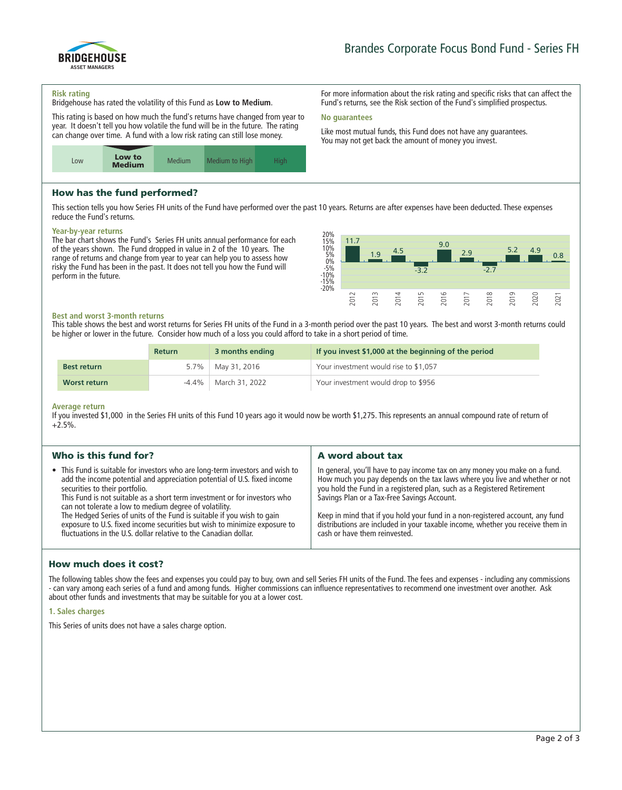

**For more information about the risk rating and specific risks that can affect the Fund's returns, see the Risk section of the Fund's simplified prospectus.**

**Like most mutual funds, this Fund does not have any guarantees. You may not get back the amount of money you invest.**

#### **Risk rating**

**Bridgehouse has rated the volatility of this Fund as Low to Medium.**

**This rating is based on how much the fund's returns have changed from year to year. It doesn't tell you how volatile the fund will be in the future. The rating can change over time. A fund with a low risk rating can still lose money.**



# How has the fund performed?

**This section tells you how Series FH units of the Fund have performed over the past 10 years. Returns are after expenses have been deducted. These expenses reduce the Fund's returns.**

**No guarantees**

### **Year-by-year returns**

**The bar chart shows the Fund's Series FH units annual performance for each of the years shown. The Fund dropped in value in 2 of the 10 years. The range of returns and change from year to year can help you to assess how risky the Fund has been in the past. It does not tell you how the Fund will perform in the future.**



### **Best and worst 3-month returns**

**This table shows the best and worst returns for Series FH units of the Fund in a 3-month period over the past 10 years. The best and worst 3-month returns could be higher or lower in the future. Consider how much of a loss you could afford to take in a short period of time.**

|                    | <b>Return</b> | 3 months ending     | If you invest \$1,000 at the beginning of the period |
|--------------------|---------------|---------------------|------------------------------------------------------|
| <b>Best return</b> |               | 5.7%   May 31, 2016 | Your investment would rise to \$1,057                |
| Worst return       | -4.4%         | March 31, 2022      | Your investment would drop to \$956                  |

#### **Average return**

**If you invested \$1,000 in the Series FH units of this Fund 10 years ago it would now be worth \$1,275. This represents an annual compound rate of return of +2.5%.**

| Who is this fund for?                                                                                                                                                                                                                                                                                                                                                                                                                                                                                                                                         | A word about tax                                                                                                                                                                                                                                                                                                                                                                                                                                                                       |  |  |
|---------------------------------------------------------------------------------------------------------------------------------------------------------------------------------------------------------------------------------------------------------------------------------------------------------------------------------------------------------------------------------------------------------------------------------------------------------------------------------------------------------------------------------------------------------------|----------------------------------------------------------------------------------------------------------------------------------------------------------------------------------------------------------------------------------------------------------------------------------------------------------------------------------------------------------------------------------------------------------------------------------------------------------------------------------------|--|--|
| • This Fund is suitable for investors who are long-term investors and wish to<br>add the income potential and appreciation potential of U.S. fixed income<br>securities to their portfolio.<br>This Fund is not suitable as a short term investment or for investors who<br>can not tolerate a low to medium degree of volatility.<br>The Hedged Series of units of the Fund is suitable if you wish to gain<br>exposure to U.S. fixed income securities but wish to minimize exposure to<br>fluctuations in the U.S. dollar relative to the Canadian dollar. | In general, you'll have to pay income tax on any money you make on a fund.<br>How much you pay depends on the tax laws where you live and whether or not<br>you hold the Fund in a registered plan, such as a Registered Retirement<br>Savings Plan or a Tax-Free Savings Account.<br>Keep in mind that if you hold your fund in a non-registered account, any fund<br>distributions are included in your taxable income, whether you receive them in<br>cash or have them reinvested. |  |  |

### How much does it cost?

**The following tables show the fees and expenses you could pay to buy, own and sell Series FH units of the Fund. The fees and expenses - including any commissions - can vary among each series of a fund and among funds. Higher commissions can influence representatives to recommend one investment over another. Ask about other funds and investments that may be suitable for you at a lower cost.**

#### **1. Sales charges**

**This Series of units does not have a sales charge option.**